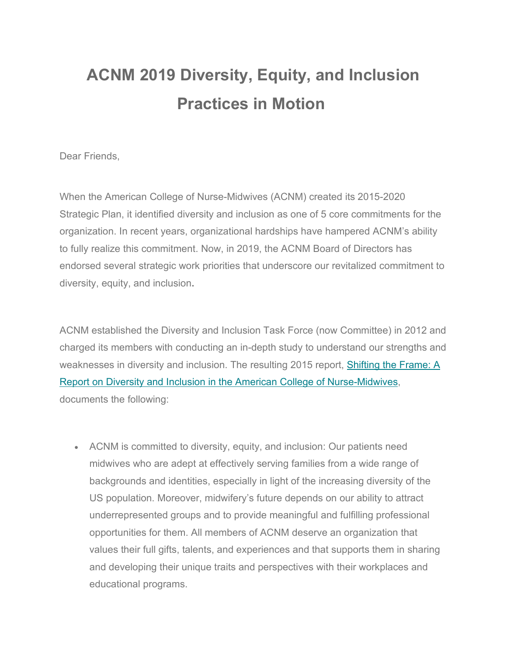# **ACNM 2019 Diversity, Equity, and Inclusion Practices in Motion**

Dear Friends,

When the American College of Nurse-Midwives (ACNM) created its 2015-2020 Strategic Plan, it identified diversity and inclusion as one of 5 core commitments for the organization. In recent years, organizational hardships have hampered ACNM's ability to fully realize this commitment. Now, in 2019, the ACNM Board of Directors has endorsed several strategic work priorities that underscore our revitalized commitment to diversity, equity, and inclusion**.** 

ACNM established the Diversity and Inclusion Task Force (now Committee) in 2012 and charged its members with conducting an in-depth study to understand our strengths and weaknesses in diversity and inclusion. The resulting 2015 report, [Shifting the Frame: A](https://midwife.us16.list-manage.com/track/click?u=c80fd060458439222525f1852&id=0a47a85ae4&e=da45305360)  [Report on Diversity and Inclusion in the American College of Nurse-Midwives,](https://midwife.us16.list-manage.com/track/click?u=c80fd060458439222525f1852&id=0a47a85ae4&e=da45305360) documents the following:

• ACNM is committed to diversity, equity, and inclusion: Our patients need midwives who are adept at effectively serving families from a wide range of backgrounds and identities, especially in light of the increasing diversity of the US population. Moreover, midwifery's future depends on our ability to attract underrepresented groups and to provide meaningful and fulfilling professional opportunities for them. All members of ACNM deserve an organization that values their full gifts, talents, and experiences and that supports them in sharing and developing their unique traits and perspectives with their workplaces and educational programs.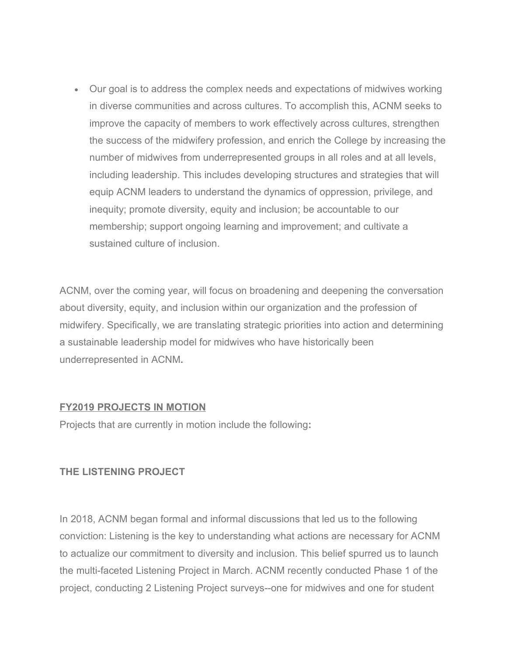• Our goal is to address the complex needs and expectations of midwives working in diverse communities and across cultures. To accomplish this, ACNM seeks to improve the capacity of members to work effectively across cultures, strengthen the success of the midwifery profession, and enrich the College by increasing the number of midwives from underrepresented groups in all roles and at all levels, including leadership. This includes developing structures and strategies that will equip ACNM leaders to understand the dynamics of oppression, privilege, and inequity; promote diversity, equity and inclusion; be accountable to our membership; support ongoing learning and improvement; and cultivate a sustained culture of inclusion.

ACNM, over the coming year, will focus on broadening and deepening the conversation about diversity, equity, and inclusion within our organization and the profession of midwifery. Specifically, we are translating strategic priorities into action and determining a sustainable leadership model for midwives who have historically been underrepresented in ACNM**.** 

#### **FY2019 PROJECTS IN MOTION**

Projects that are currently in motion include the following**:**

# **THE LISTENING PROJECT**

In 2018, ACNM began formal and informal discussions that led us to the following conviction: Listening is the key to understanding what actions are necessary for ACNM to actualize our commitment to diversity and inclusion. This belief spurred us to launch the multi-faceted Listening Project in March. ACNM recently conducted Phase 1 of the project, conducting 2 Listening Project surveys--one for midwives and one for student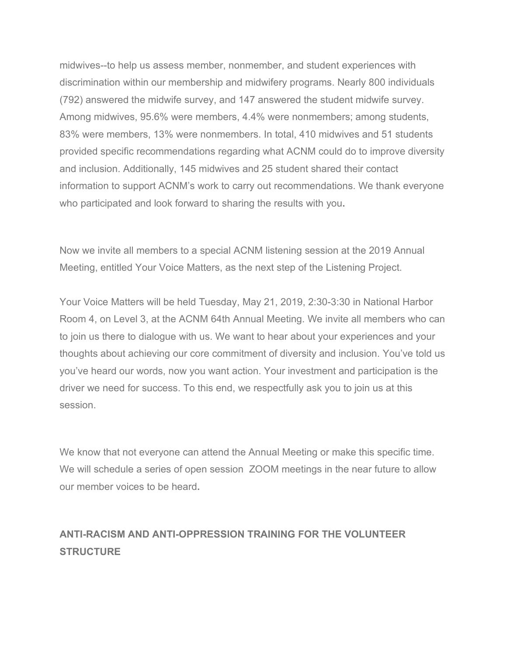midwives--to help us assess member, nonmember, and student experiences with discrimination within our membership and midwifery programs. Nearly 800 individuals (792) answered the midwife survey, and 147 answered the student midwife survey. Among midwives, 95.6% were members, 4.4% were nonmembers; among students, 83% were members, 13% were nonmembers. In total, 410 midwives and 51 students provided specific recommendations regarding what ACNM could do to improve diversity and inclusion. Additionally, 145 midwives and 25 student shared their contact information to support ACNM's work to carry out recommendations. We thank everyone who participated and look forward to sharing the results with you**.**

Now we invite all members to a special ACNM listening session at the 2019 Annual Meeting, entitled Your Voice Matters, as the next step of the Listening Project.

Your Voice Matters will be held Tuesday, May 21, 2019, 2:30-3:30 in National Harbor Room 4, on Level 3, at the ACNM 64th Annual Meeting. We invite all members who can to join us there to dialogue with us. We want to hear about your experiences and your thoughts about achieving our core commitment of diversity and inclusion. You've told us you've heard our words, now you want action. Your investment and participation is the driver we need for success. To this end, we respectfully ask you to join us at this session.

We know that not everyone can attend the Annual Meeting or make this specific time. We will schedule a series of open session ZOOM meetings in the near future to allow our member voices to be heard**.** 

# **ANTI-RACISM AND ANTI-OPPRESSION TRAINING FOR THE VOLUNTEER STRUCTURE**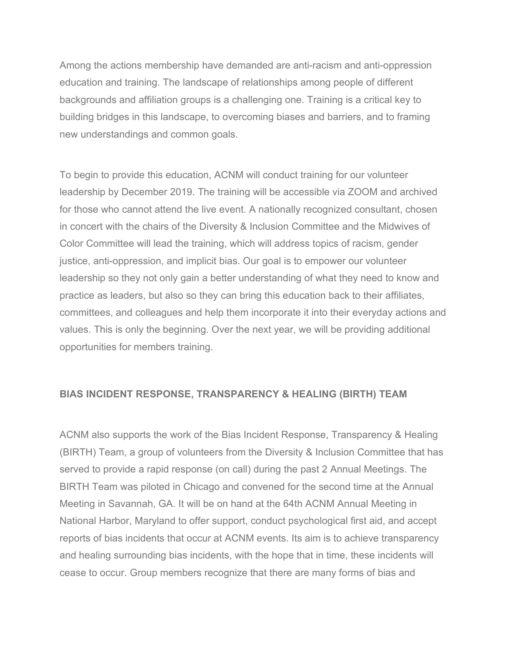Among the actions membership have demanded are anti-racism and anti-oppression education and training. The landscape of relationships among people of different backgrounds and affiliation groups is a challenging one. Training is a critical key to building bridges in this landscape, to overcoming biases and barriers, and to framing new understandings and common goals.

To begin to provide this education, ACNM will conduct training for our volunteer leadership by December 2019. The training will be accessible via ZOOM and archived for those who cannot attend the live event. A nationally recognized consultant, chosen in concert with the chairs of the Diversity & Inclusion Committee and the Midwives of Color Committee will lead the training, which will address topics of racism, gender justice, anti-oppression, and implicit bias. Our goal is to empower our volunteer leadership so they not only gain a better understanding of what they need to know and practice as leaders, but also so they can bring this education back to their affiliates, committees, and colleagues and help them incorporate it into their everyday actions and values. This is only the beginning. Over the next year, we will be providing additional opportunities for members training.

#### **BIAS INCIDENT RESPONSE, TRANSPARENCY & HEALING (BIRTH) TEAM**

ACNM also supports the work of the Bias Incident Response, Transparency & Healing (BIRTH) Team, a group of volunteers from the Diversity & Inclusion Committee that has served to provide a rapid response (on call) during the past 2 Annual Meetings. The BIRTH Team was piloted in Chicago and convened for the second time at the Annual Meeting in Savannah, GA. It will be on hand at the 64th ACNM Annual Meeting in National Harbor, Maryland to offer support, conduct psychological first aid, and accept reports of bias incidents that occur at ACNM events. Its aim is to achieve transparency and healing surrounding bias incidents, with the hope that in time, these incidents will cease to occur. Group members recognize that there are many forms of bias and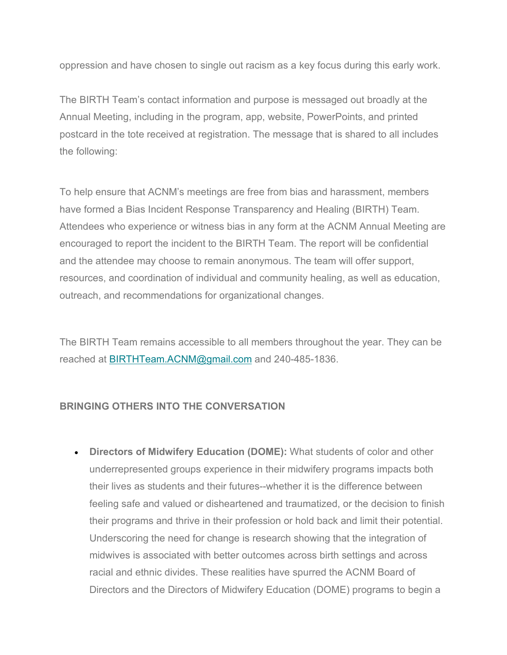oppression and have chosen to single out racism as a key focus during this early work.

The BIRTH Team's contact information and purpose is messaged out broadly at the Annual Meeting, including in the program, app, website, PowerPoints, and printed postcard in the tote received at registration. The message that is shared to all includes the following:

To help ensure that ACNM's meetings are free from bias and harassment, members have formed a Bias Incident Response Transparency and Healing (BIRTH) Team. Attendees who experience or witness bias in any form at the ACNM Annual Meeting are encouraged to report the incident to the BIRTH Team. The report will be confidential and the attendee may choose to remain anonymous. The team will offer support, resources, and coordination of individual and community healing, as well as education, outreach, and recommendations for organizational changes.

The BIRTH Team remains accessible to all members throughout the year. They can be reached at [BIRTHTeam.ACNM@gmail.com](mailto:BIRTHTeam.ACNM@gmail.com) and 240-485-1836.

# **BRINGING OTHERS INTO THE CONVERSATION**

• **Directors of Midwifery Education (DOME):** What students of color and other underrepresented groups experience in their midwifery programs impacts both their lives as students and their futures--whether it is the difference between feeling safe and valued or disheartened and traumatized, or the decision to finish their programs and thrive in their profession or hold back and limit their potential. Underscoring the need for change is research showing that the integration of midwives is associated with better outcomes across birth settings and across racial and ethnic divides. These realities have spurred the ACNM Board of Directors and the Directors of Midwifery Education (DOME) programs to begin a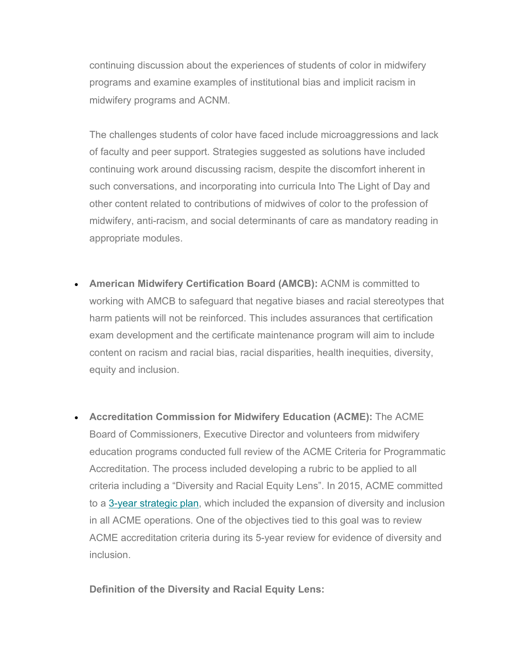continuing discussion about the experiences of students of color in midwifery programs and examine examples of institutional bias and implicit racism in midwifery programs and ACNM.

The challenges students of color have faced include microaggressions and lack of faculty and peer support. Strategies suggested as solutions have included continuing work around discussing racism, despite the discomfort inherent in such conversations, and incorporating into curricula Into The Light of Day and other content related to contributions of midwives of color to the profession of midwifery, anti-racism, and social determinants of care as mandatory reading in appropriate modules.

- **American Midwifery Certification Board (AMCB):** ACNM is committed to working with AMCB to safeguard that negative biases and racial stereotypes that harm patients will not be reinforced. This includes assurances that certification exam development and the certificate maintenance program will aim to include content on racism and racial bias, racial disparities, health inequities, diversity, equity and inclusion.
- **Accreditation Commission for Midwifery Education (ACME):** The ACME Board of Commissioners, Executive Director and volunteers from midwifery education programs conducted full review of the ACME Criteria for Programmatic Accreditation. The process included developing a rubric to be applied to all criteria including a "Diversity and Racial Equity Lens". In 2015, ACME committed to a [3-year strategic plan,](https://midwife.us16.list-manage.com/track/click?u=c80fd060458439222525f1852&id=7ebb3d6f3a&e=da45305360) which included the expansion of diversity and inclusion in all ACME operations. One of the objectives tied to this goal was to review ACME accreditation criteria during its 5-year review for evidence of diversity and inclusion.

**Definition of the Diversity and Racial Equity Lens:**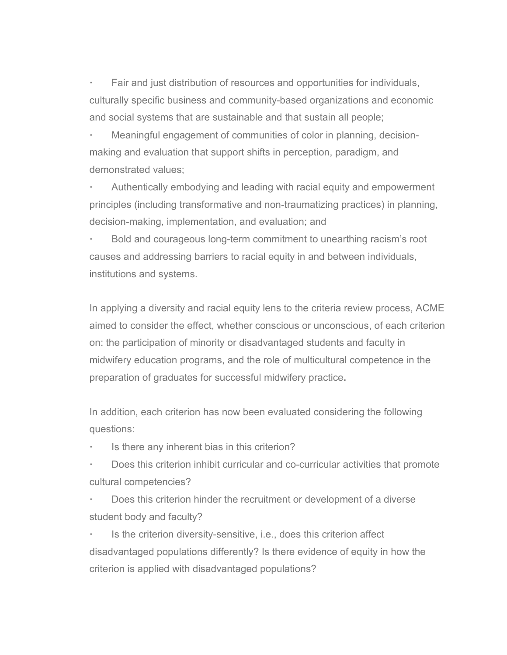**·** Fair and just distribution of resources and opportunities for individuals, culturally specific business and community-based organizations and economic and social systems that are sustainable and that sustain all people;

**·** Meaningful engagement of communities of color in planning, decisionmaking and evaluation that support shifts in perception, paradigm, and demonstrated values;

**·** Authentically embodying and leading with racial equity and empowerment principles (including transformative and non-traumatizing practices) in planning, decision-making, implementation, and evaluation; and

**·** Bold and courageous long-term commitment to unearthing racism's root causes and addressing barriers to racial equity in and between individuals, institutions and systems.

In applying a diversity and racial equity lens to the criteria review process, ACME aimed to consider the effect, whether conscious or unconscious, of each criterion on: the participation of minority or disadvantaged students and faculty in midwifery education programs, and the role of multicultural competence in the preparation of graduates for successful midwifery practice**.**

In addition, each criterion has now been evaluated considering the following questions:

**·** Is there any inherent bias in this criterion?

**·** Does this criterion inhibit curricular and co-curricular activities that promote cultural competencies?

**·** Does this criterion hinder the recruitment or development of a diverse student body and faculty?

**·** Is the criterion diversity-sensitive, i.e., does this criterion affect disadvantaged populations differently? Is there evidence of equity in how the criterion is applied with disadvantaged populations?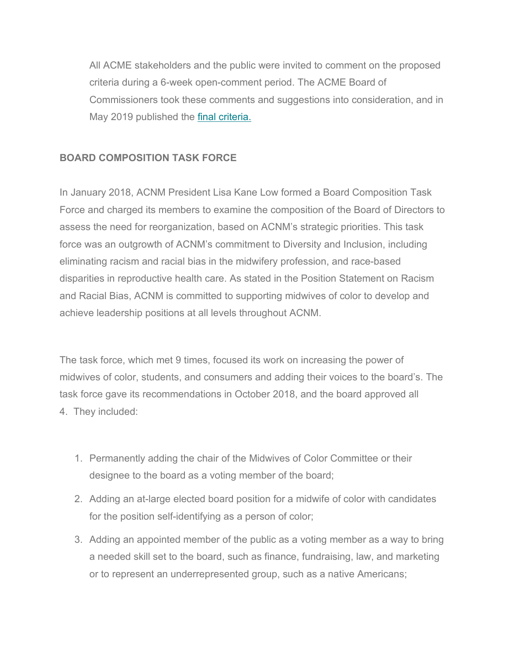All ACME stakeholders and the public were invited to comment on the proposed criteria during a 6-week open-comment period. The ACME Board of Commissioners took these comments and suggestions into consideration, and in May 2019 published the *final criteria.* 

# **BOARD COMPOSITION TASK FORCE**

In January 2018, ACNM President Lisa Kane Low formed a Board Composition Task Force and charged its members to examine the composition of the Board of Directors to assess the need for reorganization, based on ACNM's strategic priorities. This task force was an outgrowth of ACNM's commitment to Diversity and Inclusion, including eliminating racism and racial bias in the midwifery profession, and race-based disparities in reproductive health care. As stated in the Position Statement on Racism and Racial Bias, ACNM is committed to supporting midwives of color to develop and achieve leadership positions at all levels throughout ACNM.

The task force, which met 9 times, focused its work on increasing the power of midwives of color, students, and consumers and adding their voices to the board's. The task force gave its recommendations in October 2018, and the board approved all 4. They included:

- 1. Permanently adding the chair of the Midwives of Color Committee or their designee to the board as a voting member of the board;
- 2. Adding an at-large elected board position for a midwife of color with candidates for the position self-identifying as a person of color;
- 3. Adding an appointed member of the public as a voting member as a way to bring a needed skill set to the board, such as finance, fundraising, law, and marketing or to represent an underrepresented group, such as a native Americans;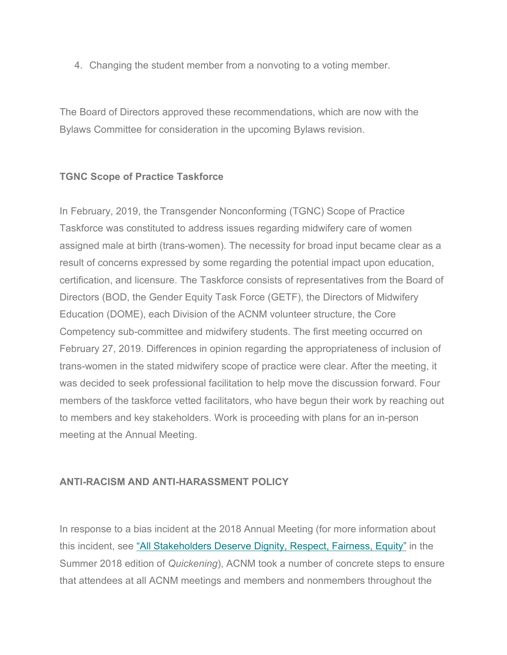4. Changing the student member from a nonvoting to a voting member.

The Board of Directors approved these recommendations, which are now with the Bylaws Committee for consideration in the upcoming Bylaws revision.

# **TGNC Scope of Practice Taskforce**

In February, 2019, the Transgender Nonconforming (TGNC) Scope of Practice Taskforce was constituted to address issues regarding midwifery care of women assigned male at birth (trans-women). The necessity for broad input became clear as a result of concerns expressed by some regarding the potential impact upon education, certification, and licensure. The Taskforce consists of representatives from the Board of Directors (BOD, the Gender Equity Task Force (GETF), the Directors of Midwifery Education (DOME), each Division of the ACNM volunteer structure, the Core Competency sub-committee and midwifery students. The first meeting occurred on February 27, 2019. Differences in opinion regarding the appropriateness of inclusion of trans-women in the stated midwifery scope of practice were clear. After the meeting, it was decided to seek professional facilitation to help move the discussion forward. Four members of the taskforce vetted facilitators, who have begun their work by reaching out to members and key stakeholders. Work is proceeding with plans for an in-person meeting at the Annual Meeting.

# **ANTI-RACISM AND ANTI-HARASSMENT POLICY**

In response to a bias incident at the 2018 Annual Meeting (for more information about this incident, see ["All Stakeholders Deserve Dignity, Respect, Fairness, Equity"](https://midwife.us16.list-manage.com/track/click?u=c80fd060458439222525f1852&id=09d4ed419f&e=da45305360) in the Summer 2018 edition of *Quickening*), ACNM took a number of concrete steps to ensure that attendees at all ACNM meetings and members and nonmembers throughout the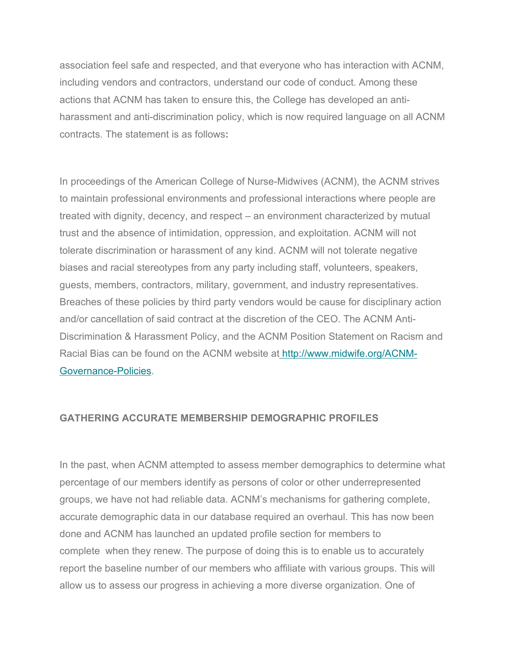association feel safe and respected, and that everyone who has interaction with ACNM, including vendors and contractors, understand our code of conduct. Among these actions that ACNM has taken to ensure this, the College has developed an antiharassment and anti-discrimination policy, which is now required language on all ACNM contracts. The statement is as follows**:** 

In proceedings of the American College of Nurse-Midwives (ACNM), the ACNM strives to maintain professional environments and professional interactions where people are treated with dignity, decency, and respect – an environment characterized by mutual trust and the absence of intimidation, oppression, and exploitation. ACNM will not tolerate discrimination or harassment of any kind. ACNM will not tolerate negative biases and racial stereotypes from any party including staff, volunteers, speakers, guests, members, contractors, military, government, and industry representatives. Breaches of these policies by third party vendors would be cause for disciplinary action and/or cancellation of said contract at the discretion of the CEO. The ACNM Anti-Discrimination & Harassment Policy, and the ACNM Position Statement on Racism and Racial Bias can be found on the ACNM website at [http://www.midwife.org/ACNM-](https://midwife.us16.list-manage.com/track/click?u=c80fd060458439222525f1852&id=1cda7c280c&e=da45305360)[Governance-Policies.](https://midwife.us16.list-manage.com/track/click?u=c80fd060458439222525f1852&id=1cda7c280c&e=da45305360)

#### **GATHERING ACCURATE MEMBERSHIP DEMOGRAPHIC PROFILES**

In the past, when ACNM attempted to assess member demographics to determine what percentage of our members identify as persons of color or other underrepresented groups, we have not had reliable data. ACNM's mechanisms for gathering complete, accurate demographic data in our database required an overhaul. This has now been done and ACNM has launched an updated profile section for members to complete when they renew. The purpose of doing this is to enable us to accurately report the baseline number of our members who affiliate with various groups. This will allow us to assess our progress in achieving a more diverse organization. One of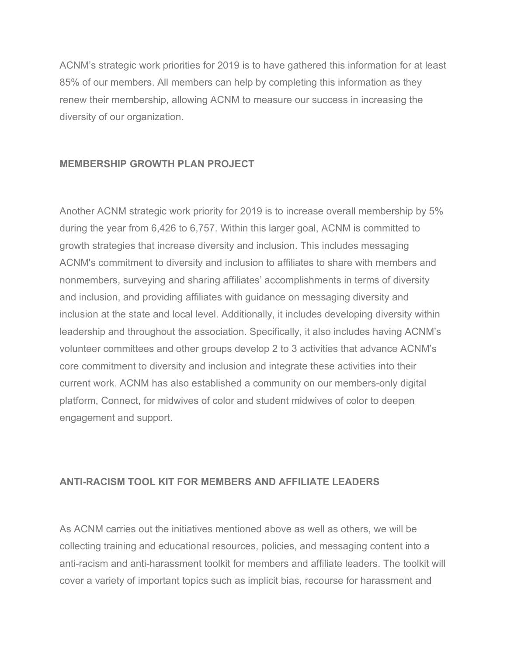ACNM's strategic work priorities for 2019 is to have gathered this information for at least 85% of our members. All members can help by completing this information as they renew their membership, allowing ACNM to measure our success in increasing the diversity of our organization.

#### **MEMBERSHIP GROWTH PLAN PROJECT**

Another ACNM strategic work priority for 2019 is to increase overall membership by 5% during the year from 6,426 to 6,757. Within this larger goal, ACNM is committed to growth strategies that increase diversity and inclusion. This includes messaging ACNM's commitment to diversity and inclusion to affiliates to share with members and nonmembers, surveying and sharing affiliates' accomplishments in terms of diversity and inclusion, and providing affiliates with guidance on messaging diversity and inclusion at the state and local level. Additionally, it includes developing diversity within leadership and throughout the association. Specifically, it also includes having ACNM's volunteer committees and other groups develop 2 to 3 activities that advance ACNM's core commitment to diversity and inclusion and integrate these activities into their current work. ACNM has also established a community on our members-only digital platform, Connect, for midwives of color and student midwives of color to deepen engagement and support.

# **ANTI-RACISM TOOL KIT FOR MEMBERS AND AFFILIATE LEADERS**

As ACNM carries out the initiatives mentioned above as well as others, we will be collecting training and educational resources, policies, and messaging content into a anti-racism and anti-harassment toolkit for members and affiliate leaders. The toolkit will cover a variety of important topics such as implicit bias, recourse for harassment and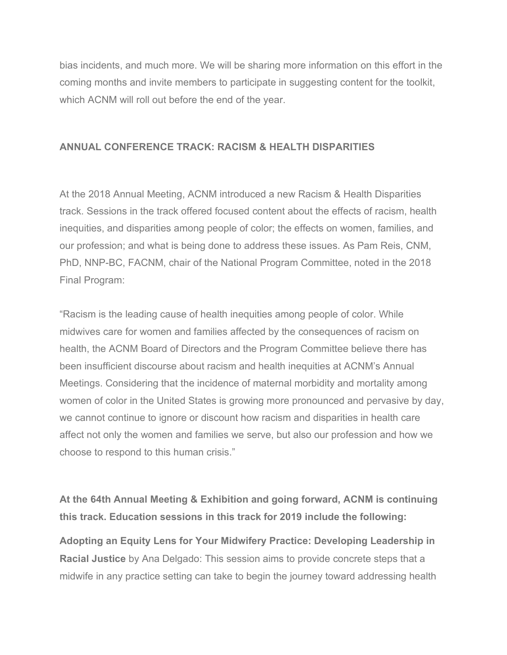bias incidents, and much more. We will be sharing more information on this effort in the coming months and invite members to participate in suggesting content for the toolkit, which ACNM will roll out before the end of the year.

#### **ANNUAL CONFERENCE TRACK: RACISM & HEALTH DISPARITIES**

At the 2018 Annual Meeting, ACNM introduced a new Racism & Health Disparities track. Sessions in the track offered focused content about the effects of racism, health inequities, and disparities among people of color; the effects on women, families, and our profession; and what is being done to address these issues. As Pam Reis, CNM, PhD, NNP-BC, FACNM, chair of the National Program Committee, noted in the 2018 Final Program:

"Racism is the leading cause of health inequities among people of color. While midwives care for women and families affected by the consequences of racism on health, the ACNM Board of Directors and the Program Committee believe there has been insufficient discourse about racism and health inequities at ACNM's Annual Meetings. Considering that the incidence of maternal morbidity and mortality among women of color in the United States is growing more pronounced and pervasive by day, we cannot continue to ignore or discount how racism and disparities in health care affect not only the women and families we serve, but also our profession and how we choose to respond to this human crisis."

**At the 64th Annual Meeting & Exhibition and going forward, ACNM is continuing this track. Education sessions in this track for 2019 include the following:**

**Adopting an Equity Lens for Your Midwifery Practice: Developing Leadership in Racial Justice** by Ana Delgado: This session aims to provide concrete steps that a midwife in any practice setting can take to begin the journey toward addressing health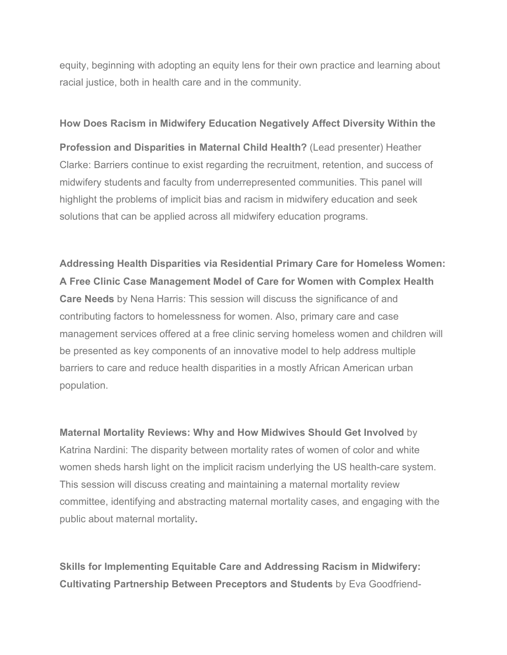equity, beginning with adopting an equity lens for their own practice and learning about racial justice, both in health care and in the community.

#### **How Does Racism in Midwifery Education Negatively Affect Diversity Within the**

**Profession and Disparities in Maternal Child Health?** (Lead presenter) Heather Clarke: Barriers continue to exist regarding the recruitment, retention, and success of midwifery students and faculty from underrepresented communities. This panel will highlight the problems of implicit bias and racism in midwifery education and seek solutions that can be applied across all midwifery education programs.

**Addressing Health Disparities via Residential Primary Care for Homeless Women: A Free Clinic Case Management Model of Care for Women with Complex Health Care Needs** by Nena Harris: This session will discuss the significance of and contributing factors to homelessness for women. Also, primary care and case management services offered at a free clinic serving homeless women and children will be presented as key components of an innovative model to help address multiple barriers to care and reduce health disparities in a mostly African American urban population.

**Maternal Mortality Reviews: Why and How Midwives Should Get Involved** by Katrina Nardini: The disparity between mortality rates of women of color and white women sheds harsh light on the implicit racism underlying the US health-care system. This session will discuss creating and maintaining a maternal mortality review committee, identifying and abstracting maternal mortality cases, and engaging with the public about maternal mortality**.** 

**Skills for Implementing Equitable Care and Addressing Racism in Midwifery: Cultivating Partnership Between Preceptors and Students** by Eva Goodfriend-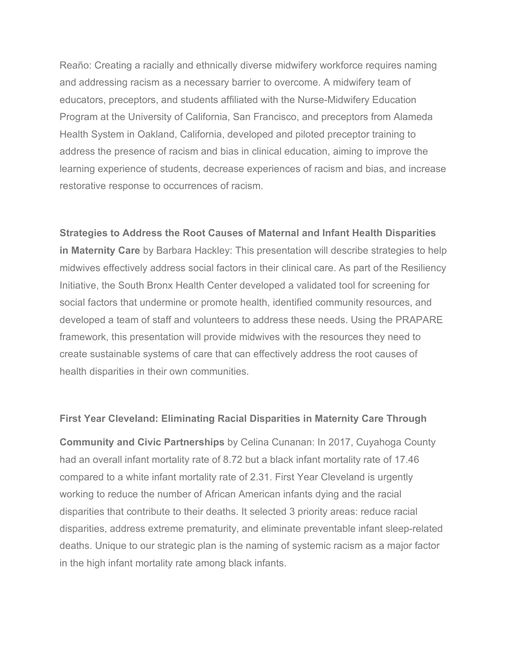Reaño: Creating a racially and ethnically diverse midwifery workforce requires naming and addressing racism as a necessary barrier to overcome. A midwifery team of educators, preceptors, and students affiliated with the Nurse-Midwifery Education Program at the University of California, San Francisco, and preceptors from Alameda Health System in Oakland, California, developed and piloted preceptor training to address the presence of racism and bias in clinical education, aiming to improve the learning experience of students, decrease experiences of racism and bias, and increase restorative response to occurrences of racism.

**Strategies to Address the Root Causes of Maternal and Infant Health Disparities in Maternity Care** by Barbara Hackley: This presentation will describe strategies to help midwives effectively address social factors in their clinical care. As part of the Resiliency Initiative, the South Bronx Health Center developed a validated tool for screening for social factors that undermine or promote health, identified community resources, and developed a team of staff and volunteers to address these needs. Using the PRAPARE framework, this presentation will provide midwives with the resources they need to create sustainable systems of care that can effectively address the root causes of health disparities in their own communities.

#### **First Year Cleveland: Eliminating Racial Disparities in Maternity Care Through**

**Community and Civic Partnerships** by Celina Cunanan: In 2017, Cuyahoga County had an overall infant mortality rate of 8.72 but a black infant mortality rate of 17.46 compared to a white infant mortality rate of 2.31. First Year Cleveland is urgently working to reduce the number of African American infants dying and the racial disparities that contribute to their deaths. It selected 3 priority areas: reduce racial disparities, address extreme prematurity, and eliminate preventable infant sleep-related deaths. Unique to our strategic plan is the naming of systemic racism as a major factor in the high infant mortality rate among black infants.